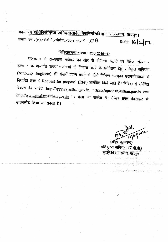--" -.-- -~ -\_.\_\_.-,.\_\_ .\_----,\_--\_.\_. <sup>~</sup>~-'-"'--"""-'. \_ ...,\_.\_- -.-----~-------- <u>कार्यालय अतिरिक्तमुख्य अभियंतासार्वजनिकनिर्माणविभाग, राजस्थान, जयपर ।</u> *क्रमांकः एफ 7(*11) / बीओटी / पीपीपी / 2014-15 / डी- **\G\8** . . . . . . . दिनांकः -**IG | 2 | I +** 

## <u>निविदासूचना संख्या : 20 / 2016-17</u>

राजस्थान के राज्यपाल महोदय की ओर से ई.पी.सी. पद्वति पर पैकेज संख्या 4 . . ~-1 *'C(i* 3F"d4fct ~. '<1\J1J:fI~ff\$ 14(1)1+1 cmif cfi ~a=JUf <sup>~</sup> .. ~. <sup>~</sup> (Authority Engineer) की सेवायें प्रदान करने के लिये विभिन्न उपयुक्त परामर्शदाताओं से निधारित प्रपत्र में Request for proposal (RFP) आमंत्रित किये जाते हैं। निविदा से संबंधित तिवरण वेब साईट, http.//sppp.rajasthan.gov.in, https://eproc.rajasthan.gov.in तथा http://www.pwd.rajasthan.gov.in पर देखा जा सकता है। टेण्डर प्रपत्र वेबसाईट से डाउनलोड़ किया जा सकता <del>है</del>।

in enishel kombi

(अनुप कलश्रेष्ठ) अति.मुख्य अभियंता (पी.पी.पी.) सा.नि.वि.राजस्थान, जयपुर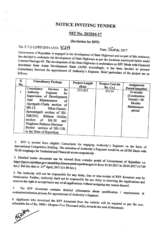## NOTICE INVITING TENDER

### NIT No. *20/2016-17*

#### (Invitation for RFP)

# No. F.7 (11)/PPP/2014-15/D- **|GI** 8 Date: **1. OFFeb**, 2017

Government of Rajasthan is engaged in the development of State Highways and as part of this endeavor, has decided to undertake the development of State Highways as per the locations mentioned below under Contract Package-04. The development of the State Highways is undertaken on EPC Mode with Financial Assistance from Asian Development Bank (ADB) Accordingly, it has been decided to procure Follows: Services for appointment of Authority's Engineer. Brief particulars of the project are as

| S.<br>No. | <b>Consultancy Package</b>                                                                                                                                                                                                                                                                                                                                           | <b>Project Length</b><br>(Km) | Project Cost (in<br>Rs. Cr. | Assignment                                                                                                |
|-----------|----------------------------------------------------------------------------------------------------------------------------------------------------------------------------------------------------------------------------------------------------------------------------------------------------------------------------------------------------------------------|-------------------------------|-----------------------------|-----------------------------------------------------------------------------------------------------------|
|           | Consultancy<br><b>Services</b><br>for<br>Authority<br>Engineer<br>for<br>Supervision of Development<br>And<br>Maintenance<br>$\circ$ f<br>Ajeetgarh-Chala section of<br>SH-13, Sikar-Ganeri-<br>Jaswantgarh section of SH-<br>20&20A, Bidasar -Nokha<br>section of SH-20<br>and<br>Singhana-Buhana-Haryana<br>Border section of SH-13B,<br>in the State of Rajasthan | 233.955                       | 435.24                      | Period (months)<br>24 months<br>(Construction<br>$Period) + 60$<br><b>Months</b><br>Maintenance<br>period |

RFP is invited from eligible Consultants for engaging Authority's Engineer on the basis of 2. International Competitive Bidding. The selection of Authority's Engineer would be on QCBS Basis with 70:30 weightage for Technical and Financial scores respectively

3. Detailed tender document can be viewed from e-tender portal of Government of Rajasthan i.e. https://eproc.rajasthan.gov.inandhttp://www.pwd.rajasthan.gov.in from 01.03.2017 to 20.04.2017 (17:00 hrs.). Bid due date is  $21^{\text{st}}$  April, 2017 (11:00 hrs.).

4. The Authority will not be responsible for any delay, loss or non-receipt of RFP document sent by Post/courier. Further, Authority shall not be responsible for any delay in receiving the Applications and reserves the right to accept/reject any of all applications without assigning any reason thereof.

5. The RFP document contains detailed infonnation about qualification *I* requirements & evaluation/selection process for appointment of Authority's Engineer.

6. Applicants who download the RFP document from the website will be required to pay the nonrefundable fee of Rs. 5000./- (Rupees Five Thousand only), towards the cost of document.